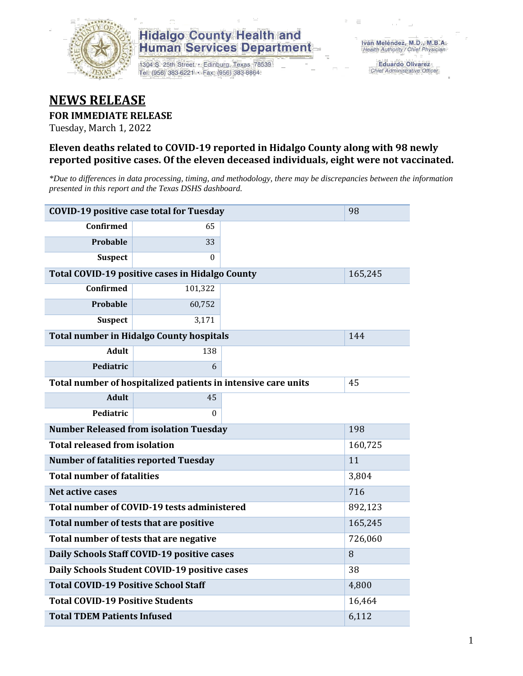

## **Hidalgo County Health and Human Services Department**

1304 S. 25th Street · Edinburg, Texas 78539 Tel: (956) 383-6221 · Fax: (956) 383-8864

**Eduardo Olivarez** Chief Administrative Officer

## **NEWS RELEASE**

#### **FOR IMMEDIATE RELEASE**

Tuesday, March 1, 2022

#### **Eleven deaths related to COVID-19 reported in Hidalgo County along with 98 newly reported positive cases. Of the eleven deceased individuals, eight were not vaccinated.**

*\*Due to differences in data processing, timing, and methodology, there may be discrepancies between the information presented in this report and the Texas DSHS dashboard.*

| <b>COVID-19 positive case total for Tuesday</b><br>98         |                                                 |         |         |  |  |
|---------------------------------------------------------------|-------------------------------------------------|---------|---------|--|--|
| <b>Confirmed</b>                                              | 65                                              |         |         |  |  |
| Probable                                                      | 33                                              |         |         |  |  |
| <b>Suspect</b>                                                | 0                                               |         |         |  |  |
|                                                               | Total COVID-19 positive cases in Hidalgo County |         | 165,245 |  |  |
| <b>Confirmed</b>                                              | 101,322                                         |         |         |  |  |
| <b>Probable</b>                                               | 60,752                                          |         |         |  |  |
| <b>Suspect</b>                                                | 3,171                                           |         |         |  |  |
| <b>Total number in Hidalgo County hospitals</b>               |                                                 | 144     |         |  |  |
| <b>Adult</b>                                                  | 138                                             |         |         |  |  |
| Pediatric                                                     | 6                                               |         |         |  |  |
| Total number of hospitalized patients in intensive care units | 45                                              |         |         |  |  |
| <b>Adult</b>                                                  | 45                                              |         |         |  |  |
| Pediatric                                                     | 0                                               |         |         |  |  |
| <b>Number Released from isolation Tuesday</b><br>198          |                                                 |         |         |  |  |
| <b>Total released from isolation</b><br>160,725               |                                                 |         |         |  |  |
| <b>Number of fatalities reported Tuesday</b>                  |                                                 | 11      |         |  |  |
| <b>Total number of fatalities</b>                             |                                                 |         | 3,804   |  |  |
| Net active cases                                              |                                                 | 716     |         |  |  |
| Total number of COVID-19 tests administered                   |                                                 | 892,123 |         |  |  |
| Total number of tests that are positive                       |                                                 |         | 165,245 |  |  |
| Total number of tests that are negative                       |                                                 |         | 726,060 |  |  |
| Daily Schools Staff COVID-19 positive cases                   |                                                 |         | 8       |  |  |
| Daily Schools Student COVID-19 positive cases                 |                                                 |         | 38      |  |  |
| <b>Total COVID-19 Positive School Staff</b>                   |                                                 |         | 4,800   |  |  |
| <b>Total COVID-19 Positive Students</b>                       |                                                 |         | 16,464  |  |  |
| <b>Total TDEM Patients Infused</b>                            |                                                 |         | 6,112   |  |  |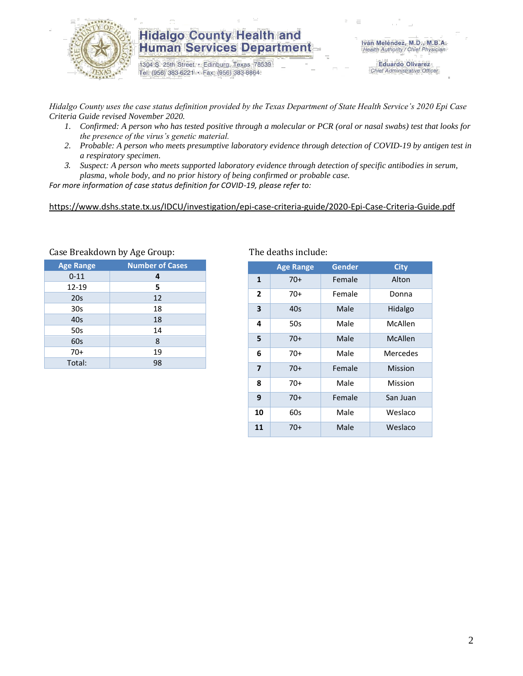

### **Hidalgo County Health and Human Services Department**

1304 S. 25th Street · Edinburg, Texas 78539 Tel: (956) 383-6221 · Fax: (956) 383-8864

**Eduardo Olivarez** Chief Administrative Officer

*Hidalgo County uses the case status definition provided by the Texas Department of State Health Service's 2020 Epi Case Criteria Guide revised November 2020.*

- *1. Confirmed: A person who has tested positive through a molecular or PCR (oral or nasal swabs) test that looks for the presence of the virus's genetic material.*
- *2. Probable: A person who meets presumptive laboratory evidence through detection of COVID-19 by antigen test in a respiratory specimen.*
- *3. Suspect: A person who meets supported laboratory evidence through detection of specific antibodies in serum, plasma, whole body, and no prior history of being confirmed or probable case.*

*For more information of case status definition for COVID-19, please refer to:*

<https://www.dshs.state.tx.us/IDCU/investigation/epi-case-criteria-guide/2020-Epi-Case-Criteria-Guide.pdf>

| <b>Number of Cases</b> |
|------------------------|
| 4                      |
| 5                      |
| 12                     |
| 18                     |
| 18                     |
| 14                     |
| 8                      |
| 19                     |
| 98                     |
|                        |

#### Case Breakdown by Age Group: The deaths include:

|                         | <b>Age Range</b> | Gender | <b>City</b> |  |
|-------------------------|------------------|--------|-------------|--|
| $\mathbf{1}$            | $70+$            | Female | Alton       |  |
| $\mathbf{2}$            | 70+              | Female | Donna       |  |
| 3                       | 40s              | Male   | Hidalgo     |  |
| 4                       | 50s              | Male   | McAllen     |  |
| 5                       | 70+              | Male   | McAllen     |  |
| 6                       | 70+              | Male   | Mercedes    |  |
| $\overline{\mathbf{z}}$ | $70+$            | Female | Mission     |  |
| 8                       | 70+              | Male   | Mission     |  |
| 9                       | $70+$            | Female | San Juan    |  |
| 10                      | 60s              | Male   | Weslaco     |  |
| 11                      | $70+$            | Male   | Weslaco     |  |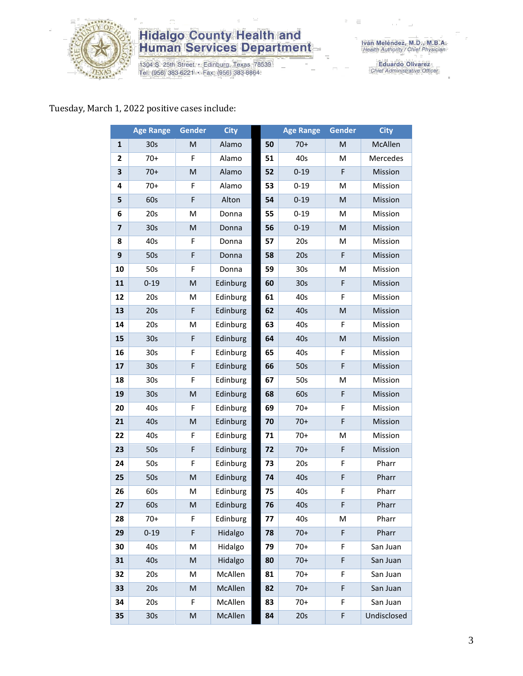

## **Hidalgo County Health and<br>Human Services Department**

1304 S. 25th Street • Edinburg, Texas 78539<br>Tel: (956) 383-6221 • Fax: (956) 383-8864

Iván Meléndez, M.D., M.B.A.<br>Health Authority / Chief Physician

Eduardo Olivarez<br>Chief Administrative Officer

### Tuesday, March 1, 2022 positive cases include:

|    | <b>Age Range</b> | Gender                                                                                                     | <b>City</b> |    | <b>Age Range</b> | Gender | <b>City</b> |
|----|------------------|------------------------------------------------------------------------------------------------------------|-------------|----|------------------|--------|-------------|
| 1  | 30 <sub>s</sub>  | M                                                                                                          | Alamo       | 50 | $70+$            | M      | McAllen     |
| 2  | $70+$            | F                                                                                                          | Alamo       | 51 | 40s              | M      | Mercedes    |
| 3  | $70+$            | M                                                                                                          | Alamo       | 52 | $0 - 19$         | F      | Mission     |
| 4  | $70+$            | F                                                                                                          | Alamo       | 53 | $0 - 19$         | M      | Mission     |
| 5  | 60s              | F                                                                                                          | Alton       | 54 | $0 - 19$         | M      | Mission     |
| 6  | 20s              | M                                                                                                          | Donna       | 55 | $0 - 19$         | M      | Mission     |
| 7  | 30 <sub>s</sub>  | M                                                                                                          | Donna       | 56 | $0 - 19$         | M      | Mission     |
| 8  | 40s              | F                                                                                                          | Donna       | 57 | 20s              | M      | Mission     |
| 9  | 50s              | F                                                                                                          | Donna       | 58 | 20s              | F      | Mission     |
| 10 | 50s              | F                                                                                                          | Donna       | 59 | 30 <sub>s</sub>  | M      | Mission     |
| 11 | $0 - 19$         | $\mathsf{M}% _{T}=\mathsf{M}_{T}\!\left( a,b\right) ,\ \mathsf{M}_{T}=\mathsf{M}_{T}\!\left( a,b\right) ,$ | Edinburg    | 60 | 30s              | F      | Mission     |
| 12 | 20s              | M                                                                                                          | Edinburg    | 61 | 40s              | F      | Mission     |
| 13 | 20s              | F                                                                                                          | Edinburg    | 62 | 40s              | M      | Mission     |
| 14 | 20s              | M                                                                                                          | Edinburg    | 63 | 40s              | F      | Mission     |
| 15 | 30 <sub>s</sub>  | $\mathsf F$                                                                                                | Edinburg    | 64 | 40s              | M      | Mission     |
| 16 | 30 <sub>s</sub>  | F                                                                                                          | Edinburg    | 65 | 40s              | F      | Mission     |
| 17 | 30 <sub>s</sub>  | F                                                                                                          | Edinburg    | 66 | 50s              | F      | Mission     |
| 18 | 30 <sub>s</sub>  | F                                                                                                          | Edinburg    | 67 | 50s              | M      | Mission     |
| 19 | 30 <sub>s</sub>  | M                                                                                                          | Edinburg    | 68 | 60s              | F      | Mission     |
| 20 | 40s              | F                                                                                                          | Edinburg    | 69 | $70+$            | F      | Mission     |
| 21 | 40s              | ${\sf M}$                                                                                                  | Edinburg    | 70 | $70+$            | F      | Mission     |
| 22 | 40s              | F                                                                                                          | Edinburg    | 71 | $70+$            | M      | Mission     |
| 23 | 50s              | F                                                                                                          | Edinburg    | 72 | $70+$            | F      | Mission     |
| 24 | 50s              | F                                                                                                          | Edinburg    | 73 | 20s              | F      | Pharr       |
| 25 | 50s              | M                                                                                                          | Edinburg    | 74 | 40s              | F      | Pharr       |
| 26 | 60s              | M                                                                                                          | Edinburg    | 75 | 40s              | F      | Pharr       |
| 27 | 60s              | M                                                                                                          | Edinburg    | 76 | 40s              | F      | Pharr       |
| 28 | $70+$            | F                                                                                                          | Edinburg    | 77 | 40s              | М      | Pharr       |
| 29 | $0 - 19$         | F                                                                                                          | Hidalgo     | 78 | $70+$            | F      | Pharr       |
| 30 | 40s              | M                                                                                                          | Hidalgo     | 79 | $70+$            | F      | San Juan    |
| 31 | 40s              | M                                                                                                          | Hidalgo     | 80 | $70+$            | F      | San Juan    |
| 32 | 20s              | M                                                                                                          | McAllen     | 81 | $70+$            | F      | San Juan    |
| 33 | 20s              | M                                                                                                          | McAllen     | 82 | $70+$            | F      | San Juan    |
| 34 | 20s              | F                                                                                                          | McAllen     | 83 | $70+$            | F      | San Juan    |
| 35 | 30 <sub>s</sub>  | M                                                                                                          | McAllen     | 84 | 20s              | F      | Undisclosed |